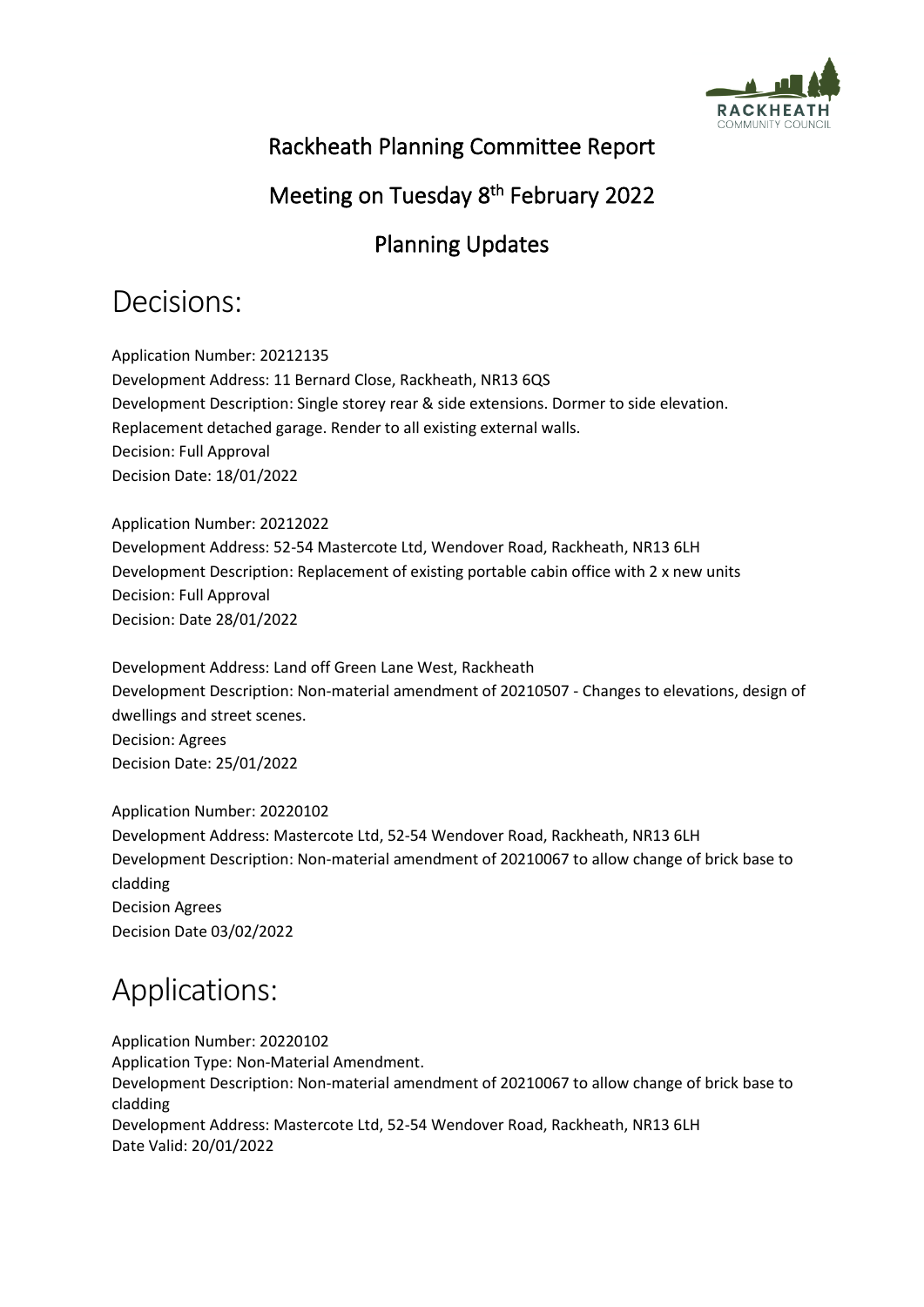

### Rackheath Planning Committee Report

#### Meeting on Tuesday 8<sup>th</sup> February 2022

## Planning Updates

# Decisions:

Application Number: 20212135 Development Address: 11 Bernard Close, Rackheath, NR13 6QS Development Description: Single storey rear & side extensions. Dormer to side elevation. Replacement detached garage. Render to all existing external walls. Decision: Full Approval Decision Date: 18/01/2022

Application Number: 20212022 Development Address: 52-54 Mastercote Ltd, Wendover Road, Rackheath, NR13 6LH Development Description: Replacement of existing portable cabin office with 2 x new units Decision: Full Approval Decision: Date 28/01/2022

Development Address: Land off Green Lane West, Rackheath Development Description: Non-material amendment of 20210507 - Changes to elevations, design of dwellings and street scenes. Decision: Agrees Decision Date: 25/01/2022

Application Number: 20220102 Development Address: Mastercote Ltd, 52-54 Wendover Road, Rackheath, NR13 6LH Development Description: Non-material amendment of 20210067 to allow change of brick base to cladding Decision Agrees Decision Date 03/02/2022

# Applications:

Application Number: 20220102 Application Type: Non-Material Amendment. Development Description: Non-material amendment of 20210067 to allow change of brick base to cladding Development Address: Mastercote Ltd, 52-54 Wendover Road, Rackheath, NR13 6LH Date Valid: 20/01/2022